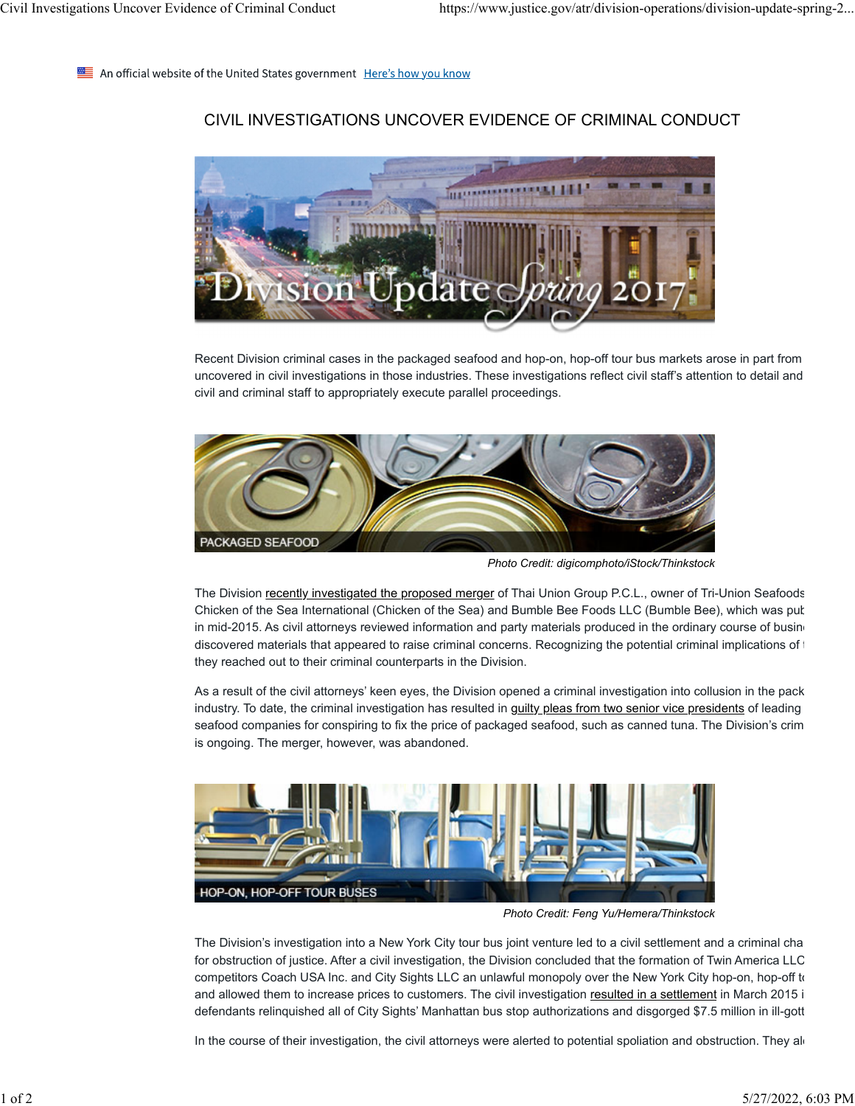An official website of the United States government Here's how you know

## CIVIL INVESTIGATIONS UNCOVER EVIDENCE OF CRIMINAL CONDUCT



Recent Division criminal cases in the packaged seafood and hop-on, hop-off tour bus markets arose in part from uncovered in civil investigations in those industries. These investigations reflect civil staff's attention to detail and civil and criminal staff to appropriately execute parallel proceedings.



*Photo Credit: digicomphoto/iStock/Thinkstock*

The Division recently investigated the proposed merger of Thai Union Group P.C.L., owner of Tri-Union Seafoods Chicken of the Sea International (Chicken of the Sea) and Bumble Bee Foods LLC (Bumble Bee), which was pub in mid-2015. As civil attorneys reviewed information and party materials produced in the ordinary course of busine discovered materials that appeared to raise criminal concerns. Recognizing the potential criminal implications of t they reached out to their criminal counterparts in the Division.

As a result of the civil attorneys' keen eyes, the Division opened a criminal investigation into collusion in the pack industry. To date, the criminal investigation has resulted in guilty pleas from two senior vice presidents of leading seafood companies for conspiring to fix the price of packaged seafood, such as canned tuna. The Division's crim is ongoing. The merger, however, was abandoned.



*Photo Credit: Feng Yu/Hemera/Thinkstock*

The Division's investigation into a New York City tour bus joint venture led to a civil settlement and a criminal cha for obstruction of justice. After a civil investigation, the Division concluded that the formation of Twin America LLC competitors Coach USA Inc. and City Sights LLC an unlawful monopoly over the New York City hop-on, hop-off to and allowed them to increase prices to customers. The civil investigation resulted in a settlement in March 2015 i defendants relinquished all of City Sights' Manhattan bus stop authorizations and disgorged \$7.5 million in ill-gott

In the course of their investigation, the civil attorneys were alerted to potential spoliation and obstruction. They ald